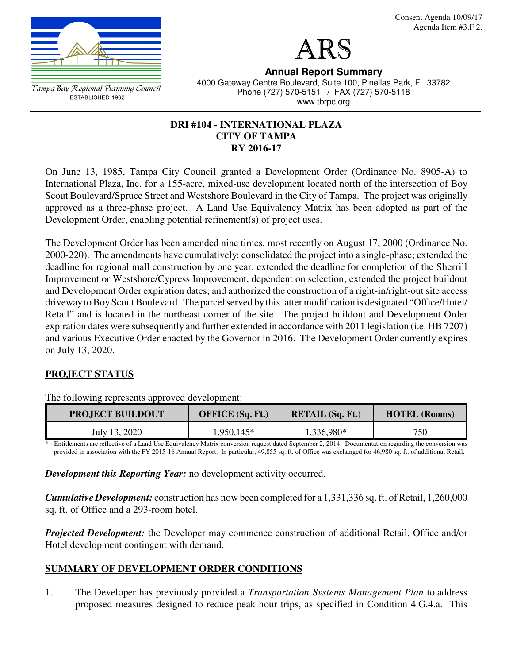

Consent Agenda 10/09/17 Agenda Item #3.F.2.

ARS

Tampa Bay Regional Planning Council ESTABLISHED 1962

**Annual Report Summary** 4000 Gateway Centre Boulevard, Suite 100, Pinellas Park, FL 33782 Phone (727) 570-5151 / FAX (727) 570-5118 www.tbrpc.org

## **DRI #104 - INTERNATIONAL PLAZA CITY OF TAMPA RY 2016-17**

On June 13, 1985, Tampa City Council granted a Development Order (Ordinance No. 8905-A) to International Plaza, Inc. for a 155-acre, mixed-use development located north of the intersection of Boy Scout Boulevard/Spruce Street and Westshore Boulevard in the City of Tampa. The project was originally approved as a three-phase project. A Land Use Equivalency Matrix has been adopted as part of the Development Order, enabling potential refinement(s) of project uses.

The Development Order has been amended nine times, most recently on August 17, 2000 (Ordinance No. 2000-220). The amendments have cumulatively: consolidated the project into a single-phase; extended the deadline for regional mall construction by one year; extended the deadline for completion of the Sherrill Improvement or Westshore/Cypress Improvement, dependent on selection; extended the project buildout and Development Order expiration dates; and authorized the construction of a right-in/right-out site access driveway to Boy Scout Boulevard. The parcel served by this latter modification is designated "Office/Hotel/ Retail" and is located in the northeast corner of the site. The project buildout and Development Order expiration dates were subsequently and further extended in accordance with 2011 legislation (i.e. HB 7207) and various Executive Order enacted by the Governor in 2016. The Development Order currently expires on July 13, 2020.

# **PROJECT STATUS**

| <b>PROJECT BUILDOUT</b> | <b>OFFICE</b> (Sq. Ft.) | <b>RETAIL (Sq. Ft.)</b> | <b>HOTEL (Rooms)</b> |
|-------------------------|-------------------------|-------------------------|----------------------|
| July 13, 2020           | 1,950,145*              | 1,336,980*              | 750                  |

The following represents approved development:

\* - Entitlements are reflective of a Land Use Equivalency Matrix conversion request dated September 2, 2014. Documentation regarding the conversion was provided in association with the FY 2015-16 Annual Report. In particular, 49,855 sq. ft. of Office was exchanged for 46,980 sq. ft. of additional Retail.

*Development this Reporting Year:* no development activity occurred.

*Cumulative Development:* construction has now been completed for a 1,331,336 sq. ft. of Retail, 1,260,000 sq. ft. of Office and a 293-room hotel.

*Projected Development:* the Developer may commence construction of additional Retail, Office and/or Hotel development contingent with demand.

# **SUMMARY OF DEVELOPMENT ORDER CONDITIONS**

1. The Developer has previously provided a *Transportation Systems Management Plan* to address proposed measures designed to reduce peak hour trips, as specified in Condition 4.G.4.a. This